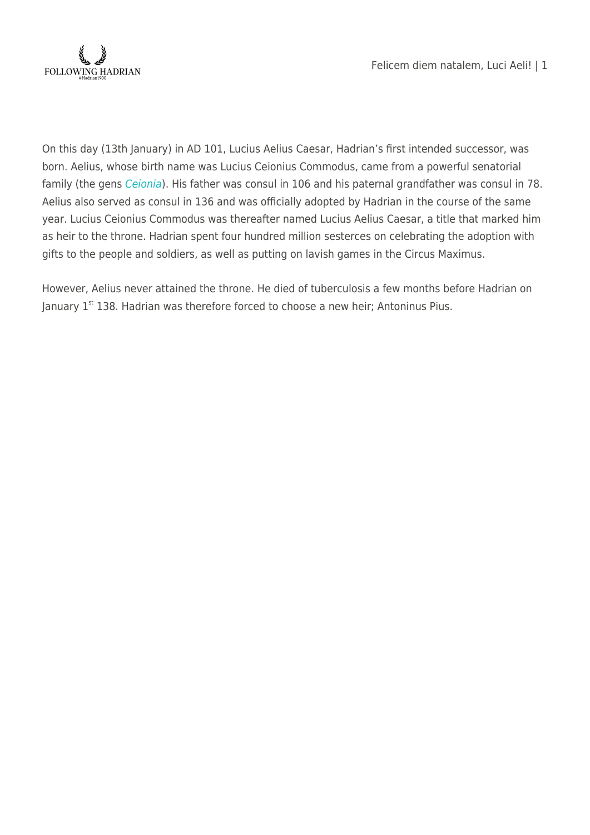

On this day (13th January) in AD 101, Lucius Aelius Caesar, Hadrian's first intended successor, was born. Aelius, whose birth name was Lucius Ceionius Commodus, came from a powerful senatorial family (the gens [Ceionia](https://en.wikipedia.org/wiki/Ceionia_(gens))). His father was consul in 106 and his paternal grandfather was consul in 78. Aelius also served as consul in 136 and was officially adopted by Hadrian in the course of the same year. Lucius Ceionius Commodus was thereafter named Lucius Aelius Caesar, a title that marked him as heir to the throne. Hadrian spent four hundred million sesterces on celebrating the adoption with gifts to the people and soldiers, as well as putting on lavish games in the Circus Maximus.

However, Aelius never attained the throne. He died of tuberculosis a few months before Hadrian on January  $1<sup>st</sup>$  138. Hadrian was therefore forced to choose a new heir; Antoninus Pius.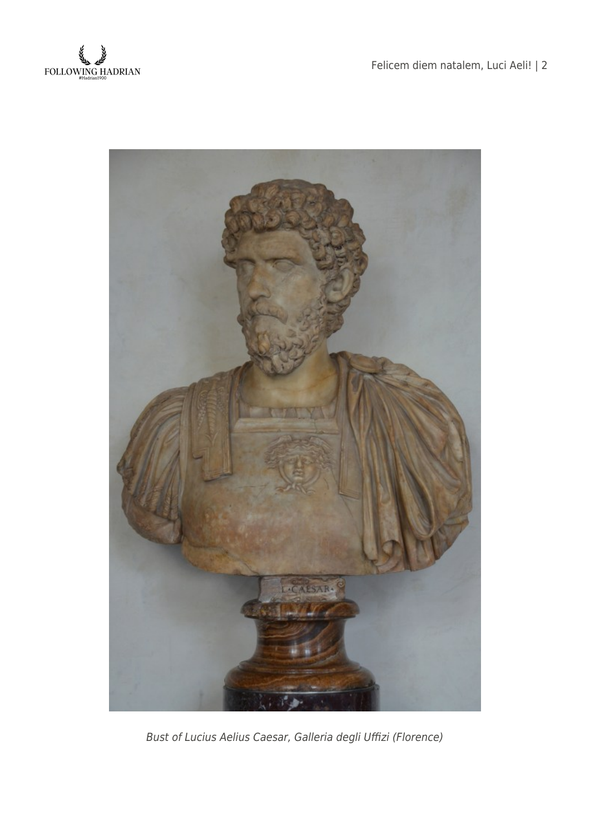



Bust of Lucius Aelius Caesar, Galleria degli Uffizi (Florence)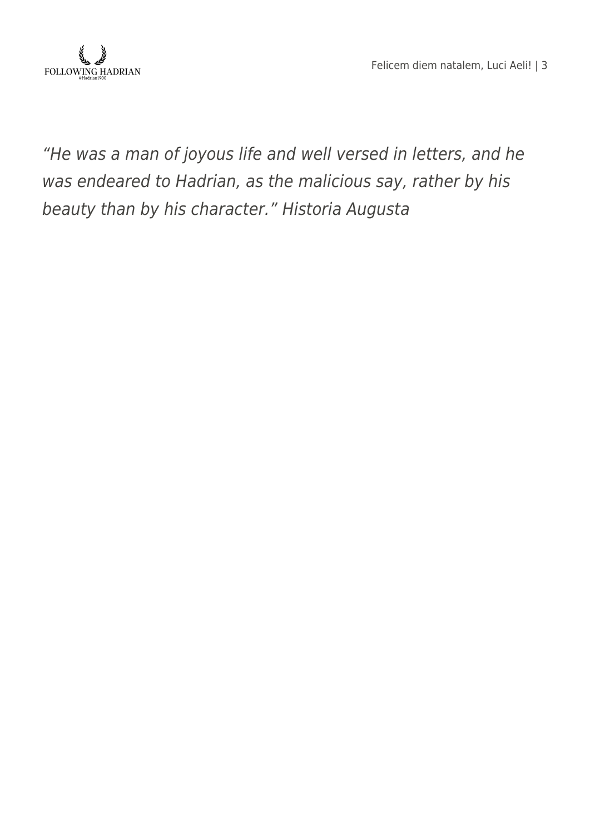

"He was a man of joyous life and well versed in letters, and he was endeared to Hadrian, as the malicious say, rather by his beauty than by his character." Historia Augusta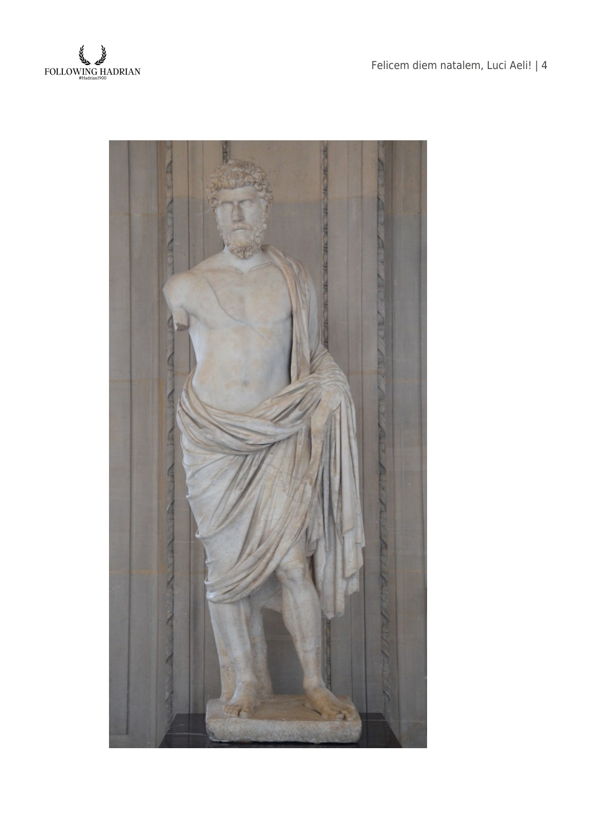

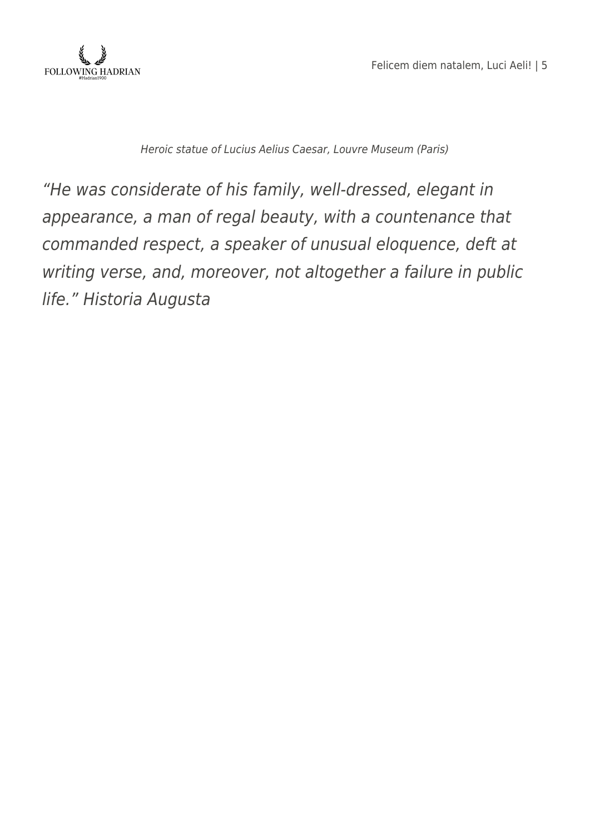

Heroic statue of Lucius Aelius Caesar, Louvre Museum (Paris)

"He was considerate of his family, well-dressed, elegant in appearance, a man of regal beauty, with a countenance that commanded respect, a speaker of unusual eloquence, deft at writing verse, and, moreover, not altogether a failure in public life." Historia Augusta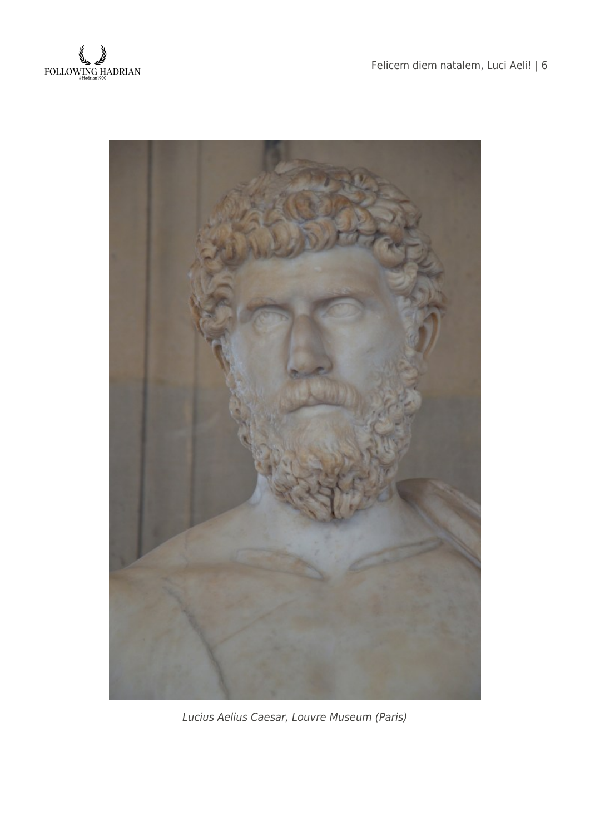



Lucius Aelius Caesar, Louvre Museum (Paris)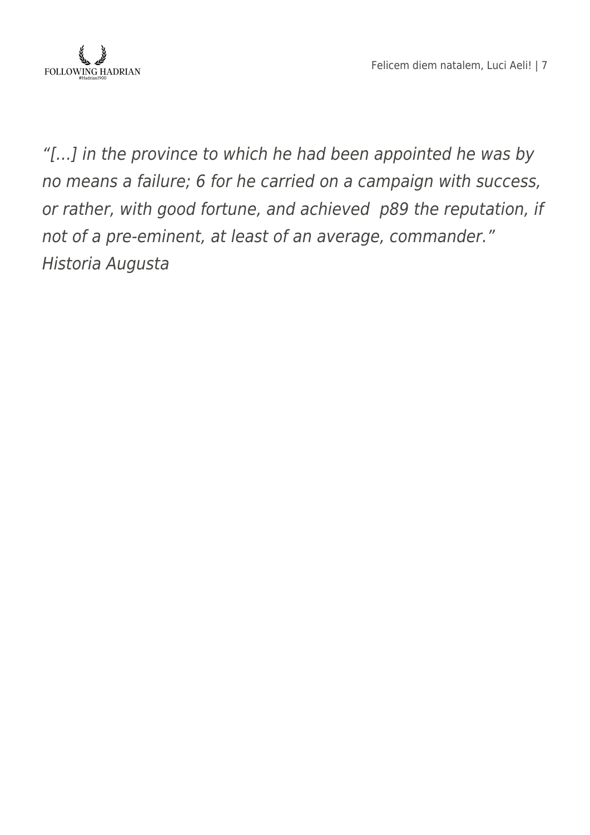

"[…] in the province to which he had been appointed he was by no means a failure; 6 for he carried on a campaign with success, or rather, with good fortune, and achieved p89 the reputation, if not of a pre-eminent, at least of an average, commander." Historia Augusta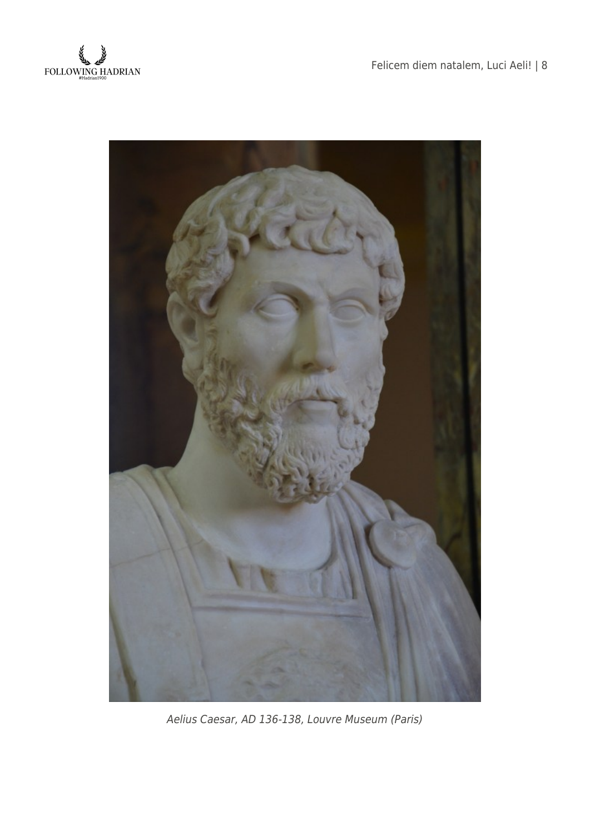



Aelius Caesar, AD 136-138, Louvre Museum (Paris)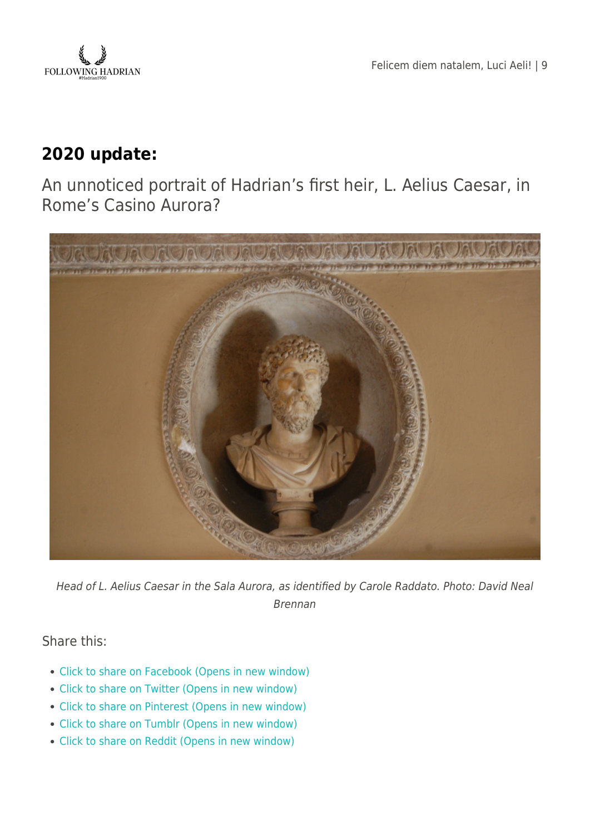

## **2020 update:**

[An unnoticed portrait of Hadrian's first heir, L. Aelius Caesar, in](https://villaludovisi.org/2019/11/15/new-an-unnoticed-portrait-of-hadrians-first-heir-l-aelius-caesar-in-romes-casino-aurora/) [Rome's Casino Aurora?](https://villaludovisi.org/2019/11/15/new-an-unnoticed-portrait-of-hadrians-first-heir-l-aelius-caesar-in-romes-casino-aurora/)



Head of L. Aelius Caesar in the Sala Aurora, as identified by Carole Raddato. Photo: David Neal Brennan

Share this:

- [Click to share on Facebook \(Opens in new window\)](https://followinghadrian.com/2014/01/13/felicem-diem-natalem-luci-aeli/?share=facebook)
- [Click to share on Twitter \(Opens in new window\)](https://followinghadrian.com/2014/01/13/felicem-diem-natalem-luci-aeli/?share=twitter)
- [Click to share on Pinterest \(Opens in new window\)](https://followinghadrian.com/2014/01/13/felicem-diem-natalem-luci-aeli/?share=pinterest)
- [Click to share on Tumblr \(Opens in new window\)](https://followinghadrian.com/2014/01/13/felicem-diem-natalem-luci-aeli/?share=tumblr)
- [Click to share on Reddit \(Opens in new window\)](https://followinghadrian.com/2014/01/13/felicem-diem-natalem-luci-aeli/?share=reddit)